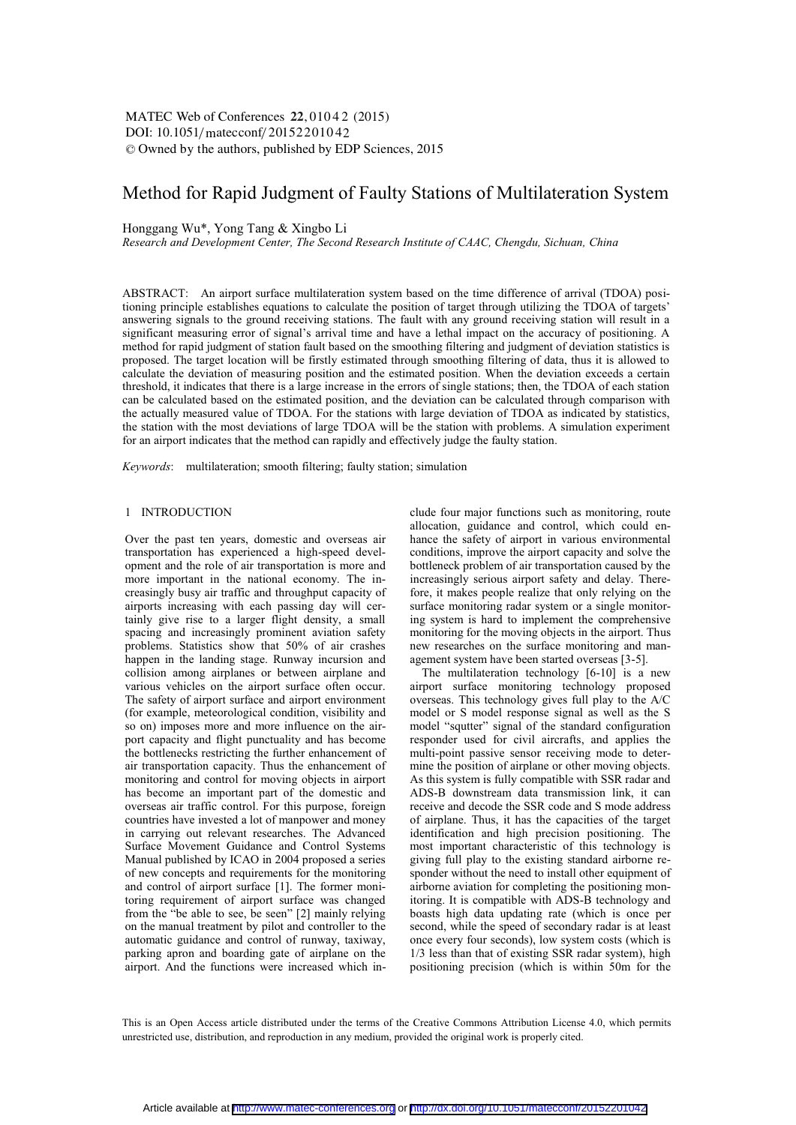# $\text{DOI: } 10.1051/\text{mategorf}/20152201042$ -<sup>C</sup> Owned by the authors, published by EDP Sciences, 2015 MATEC Web of Conferences 22, 01042 (2015)

# Method for Rapid Judgment of Faulty Stations of Multilateration System

Honggang Wu\*, Yong Tang & Xingbo Li

*Research and Development Center, The Second Research Institute of CAAC, Chengdu, Sichuan, China* 

ABSTRACT: An airport surface multilateration system based on the time difference of arrival (TDOA) positioning principle establishes equations to calculate the position of target through utilizing the TDOA of targets' answering signals to the ground receiving stations. The fault with any ground receiving station will result in a significant measuring error of signal's arrival time and have a lethal impact on the accuracy of positioning. A method for rapid judgment of station fault based on the smoothing filtering and judgment of deviation statistics is proposed. The target location will be firstly estimated through smoothing filtering of data, thus it is allowed to calculate the deviation of measuring position and the estimated position. When the deviation exceeds a certain threshold, it indicates that there is a large increase in the errors of single stations; then, the TDOA of each station can be calculated based on the estimated position, and the deviation can be calculated through comparison with the actually measured value of TDOA. For the stations with large deviation of TDOA as indicated by statistics, the station with the most deviations of large TDOA will be the station with problems. A simulation experiment for an airport indicates that the method can rapidly and effectively judge the faulty station.

*Keywords*: multilateration; smooth filtering; faulty station; simulation

### 1 INTRODUCTION

Over the past ten years, domestic and overseas air transportation has experienced a high-speed development and the role of air transportation is more and more important in the national economy. The increasingly busy air traffic and throughput capacity of airports increasing with each passing day will certainly give rise to a larger flight density, a small spacing and increasingly prominent aviation safety problems. Statistics show that 50% of air crashes happen in the landing stage. Runway incursion and collision among airplanes or between airplane and various vehicles on the airport surface often occur. The safety of airport surface and airport environment (for example, meteorological condition, visibility and so on) imposes more and more influence on the airport capacity and flight punctuality and has become the bottlenecks restricting the further enhancement of air transportation capacity. Thus the enhancement of monitoring and control for moving objects in airport has become an important part of the domestic and overseas air traffic control. For this purpose, foreign countries have invested a lot of manpower and money in carrying out relevant researches. The Advanced Surface Movement Guidance and Control Systems Manual published by ICAO in 2004 proposed a series of new concepts and requirements for the monitoring and control of airport surface [1]. The former monitoring requirement of airport surface was changed from the "be able to see, be seen" [2] mainly relying on the manual treatment by pilot and controller to the automatic guidance and control of runway, taxiway, parking apron and boarding gate of airplane on the airport. And the functions were increased which include four major functions such as monitoring, route allocation, guidance and control, which could enhance the safety of airport in various environmental conditions, improve the airport capacity and solve the bottleneck problem of air transportation caused by the increasingly serious airport safety and delay. Therefore, it makes people realize that only relying on the surface monitoring radar system or a single monitoring system is hard to implement the comprehensive monitoring for the moving objects in the airport. Thus new researches on the surface monitoring and management system have been started overseas [3-5].

The multilateration technology [6-10] is a new airport surface monitoring technology proposed overseas. This technology gives full play to the A/C model or S model response signal as well as the S model "squtter" signal of the standard configuration responder used for civil aircrafts, and applies the multi-point passive sensor receiving mode to determine the position of airplane or other moving objects. As this system is fully compatible with SSR radar and ADS-B downstream data transmission link, it can receive and decode the SSR code and S mode address of airplane. Thus, it has the capacities of the target identification and high precision positioning. The most important characteristic of this technology is giving full play to the existing standard airborne responder without the need to install other equipment of airborne aviation for completing the positioning monitoring. It is compatible with ADS-B technology and boasts high data updating rate (which is once per second, while the speed of secondary radar is at least once every four seconds), low system costs (which is 1/3 less than that of existing SSR radar system), high positioning precision (which is within 50m for the

This is an Open Access article distributed under the terms of the Creative Commons Attribution License 4.0, which permits unrestricted use, distribution, and reproduction in any medium, provided the original work is properly cited.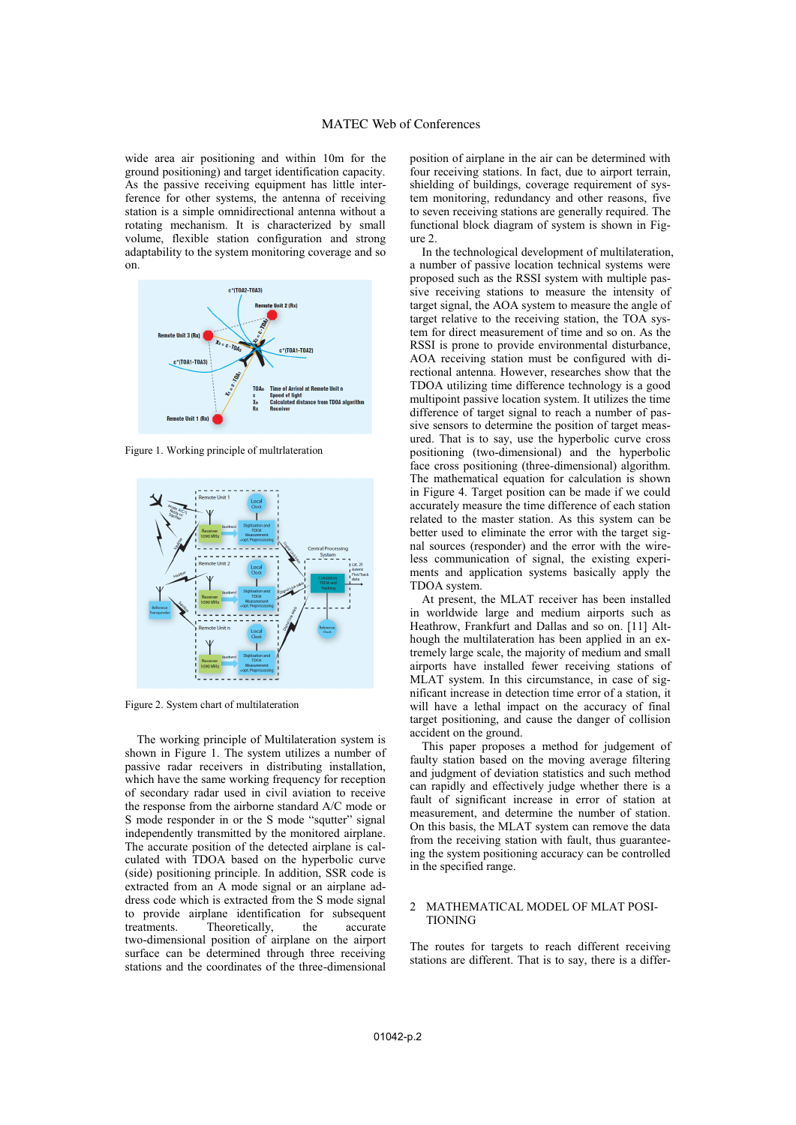wide area air positioning and within 10m for the ground positioning) and target identification capacity. As the passive receiving equipment has little interference for other systems, the antenna of receiving station is a simple omnidirectional antenna without a rotating mechanism. It is characterized by small volume, flexible station configuration and strong adaptability to the system monitoring coverage and so on.



Figure 1. Working principle of multrlateration



Figure 2. System chart of multilateration

The working principle of Multilateration system is shown in Figure 1. The system utilizes a number of passive radar receivers in distributing installation, which have the same working frequency for reception of secondary radar used in civil aviation to receive the response from the airborne standard A/C mode or S mode responder in or the S mode "squtter" signal independently transmitted by the monitored airplane. The accurate position of the detected airplane is calculated with TDOA based on the hyperbolic curve (side) positioning principle. In addition, SSR code is extracted from an A mode signal or an airplane address code which is extracted from the S mode signal to provide airplane identification for subsequent treatments. Theoretically, the accurate Theoretically, two-dimensional position of airplane on the airport surface can be determined through three receiving stations and the coordinates of the three-dimensional

position of airplane in the air can be determined with four receiving stations. In fact, due to airport terrain, shielding of buildings, coverage requirement of system monitoring, redundancy and other reasons, five to seven receiving stations are generally required. The functional block diagram of system is shown in Figure 2.

In the technological development of multilateration, a number of passive location technical systems were proposed such as the RSSI system with multiple passive receiving stations to measure the intensity of target signal, the AOA system to measure the angle of target relative to the receiving station, the TOA system for direct measurement of time and so on. As the RSSI is prone to provide environmental disturbance, AOA receiving station must be configured with directional antenna. However, researches show that the TDOA utilizing time difference technology is a good multipoint passive location system. It utilizes the time difference of target signal to reach a number of passive sensors to determine the position of target measured. That is to say, use the hyperbolic curve cross positioning (two-dimensional) and the hyperbolic face cross positioning (three-dimensional) algorithm. The mathematical equation for calculation is shown in Figure 4. Target position can be made if we could accurately measure the time difference of each station related to the master station. As this system can be better used to eliminate the error with the target signal sources (responder) and the error with the wireless communication of signal, the existing experiments and application systems basically apply the TDOA system.

At present, the MLAT receiver has been installed in worldwide large and medium airports such as Heathrow, Frankfurt and Dallas and so on. [11] Although the multilateration has been applied in an extremely large scale, the majority of medium and small airports have installed fewer receiving stations of MLAT system. In this circumstance, in case of significant increase in detection time error of a station, it will have a lethal impact on the accuracy of final target positioning, and cause the danger of collision accident on the ground.

This paper proposes a method for judgement of faulty station based on the moving average filtering and judgment of deviation statistics and such method can rapidly and effectively judge whether there is a fault of significant increase in error of station at measurement, and determine the number of station. On this basis, the MLAT system can remove the data from the receiving station with fault, thus guaranteeing the system positioning accuracy can be controlled in the specified range.

#### 2 MATHEMATICAL MODEL OF MLAT POSI-TIONING

The routes for targets to reach different receiving stations are different. That is to say, there is a differ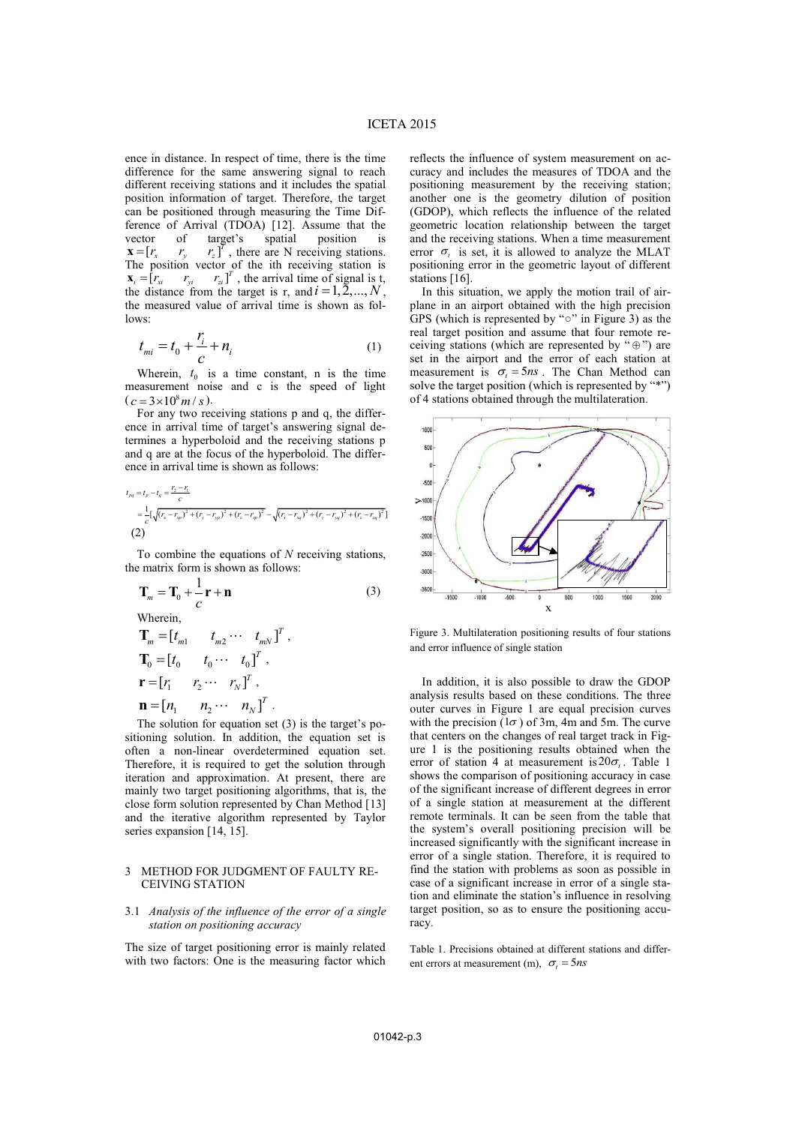ence in distance. In respect of time, there is the time difference for the same answering signal to reach different receiving stations and it includes the spatial position information of target. Therefore, the target can be positioned through measuring the Time Difference of Arrival (TDOA) [12]. Assume that the vector of target's spatial position is  $=[r_x \quad r_y \quad r_z]^T$ , there are N receiving stations.  $\mathbf{x} = \begin{bmatrix} r_x & r_y \end{bmatrix}$ The position vector of the ith receiving station is  $\mathbf{x}_i = [r_{xi} \quad r_{yi} \quad r_{zi}]^T$ , the arrival time of signal is t, the distance from the target is r, and  $i = 1, 2, ..., N$ , the measured value of arrival time is shown as follows:

$$
t_{mi} = t_0 + \frac{r_i}{c} + n_i
$$
 (1)

Wherein,  $t_0$  is a time constant, n is the time measurement noise and c is the speed of light  $(c = 3 \times 10^8 m / s).$ 

For any two receiving stations p and q, the difference in arrival time of target's answering signal determines a hyperboloid and the receiving stations p and q are at the focus of the hyperboloid. The difference in arrival time is shown as follows:

$$
t_{pq} = t_p - t_q = \frac{r_2 - r_1}{c}
$$
  
=  $\frac{1}{c} [\sqrt{(r_x - r_{xp})^2 + (r_y - r_{yp})^2 + (r_z - r_{zp})^2} - \sqrt{(r_x - r_{xq})^2 + (r_y - r_{yq})^2 + (r_z - r_{zq})^2}]$   
(2)

To combine the equations of *N* receiving stations, the matrix form is shown as follows:

$$
\mathbf{T}_m = \mathbf{T}_0 + \frac{1}{c} \mathbf{r} + \mathbf{n}
$$
\nWherein,

\n
$$
\mathbf{T}_m = \begin{bmatrix} t_{m1} & t_{m2} \cdots & t_{mN} \end{bmatrix}^T,
$$
\n
$$
\mathbf{T}_0 = \begin{bmatrix} t_0 & t_0 \cdots & t_0 \end{bmatrix}^T,
$$

$$
\mathbf{r} = [r_1 \quad r_2 \cdots r_N]^T,
$$
  

$$
\mathbf{n} = [n_1 \quad n_2 \cdots n_N]^T.
$$

The solution for equation set (3) is the target's positioning solution. In addition, the equation set is often a non-linear overdetermined equation set. Therefore, it is required to get the solution through iteration and approximation. At present, there are mainly two target positioning algorithms, that is, the close form solution represented by Chan Method [13] and the iterative algorithm represented by Taylor series expansion [14, 15].

## 3 METHOD FOR JUDGMENT OF FAULTY RE-CEIVING STATION

## 3.1 *Analysis of the influence of the error of a single station on positioning accuracy*

The size of target positioning error is mainly related with two factors: One is the measuring factor which reflects the influence of system measurement on accuracy and includes the measures of TDOA and the positioning measurement by the receiving station; another one is the geometry dilution of position (GDOP), which reflects the influence of the related geometric location relationship between the target and the receiving stations. When a time measurement error  $\sigma$ , is set, it is allowed to analyze the MLAT positioning error in the geometric layout of different stations [16].

In this situation, we apply the motion trail of airplane in an airport obtained with the high precision GPS (which is represented by "○" in Figure 3) as the real target position and assume that four remote receiving stations (which are represented by " $\oplus$ ") are set in the airport and the error of each station at measurement is  $\sigma_t = 5ns$ . The Chan Method can solve the target position (which is represented by "\*") of 4 stations obtained through the multilateration.



Figure 3. Multilateration positioning results of four stations and error influence of single station

In addition, it is also possible to draw the GDOP analysis results based on these conditions. The three outer curves in Figure 1 are equal precision curves with the precision ( $1\sigma$ ) of 3m, 4m and 5m. The curve that centers on the changes of real target track in Figure 1 is the positioning results obtained when the error of station 4 at measurement is  $20\sigma_t$ . Table 1 shows the comparison of positioning accuracy in case of the significant increase of different degrees in error of a single station at measurement at the different remote terminals. It can be seen from the table that the system's overall positioning precision will be increased significantly with the significant increase in error of a single station. Therefore, it is required to find the station with problems as soon as possible in case of a significant increase in error of a single station and eliminate the station's influence in resolving target position, so as to ensure the positioning accuracy.

Table 1. Precisions obtained at different stations and different errors at measurement (m),  $\sigma_t = 5ns$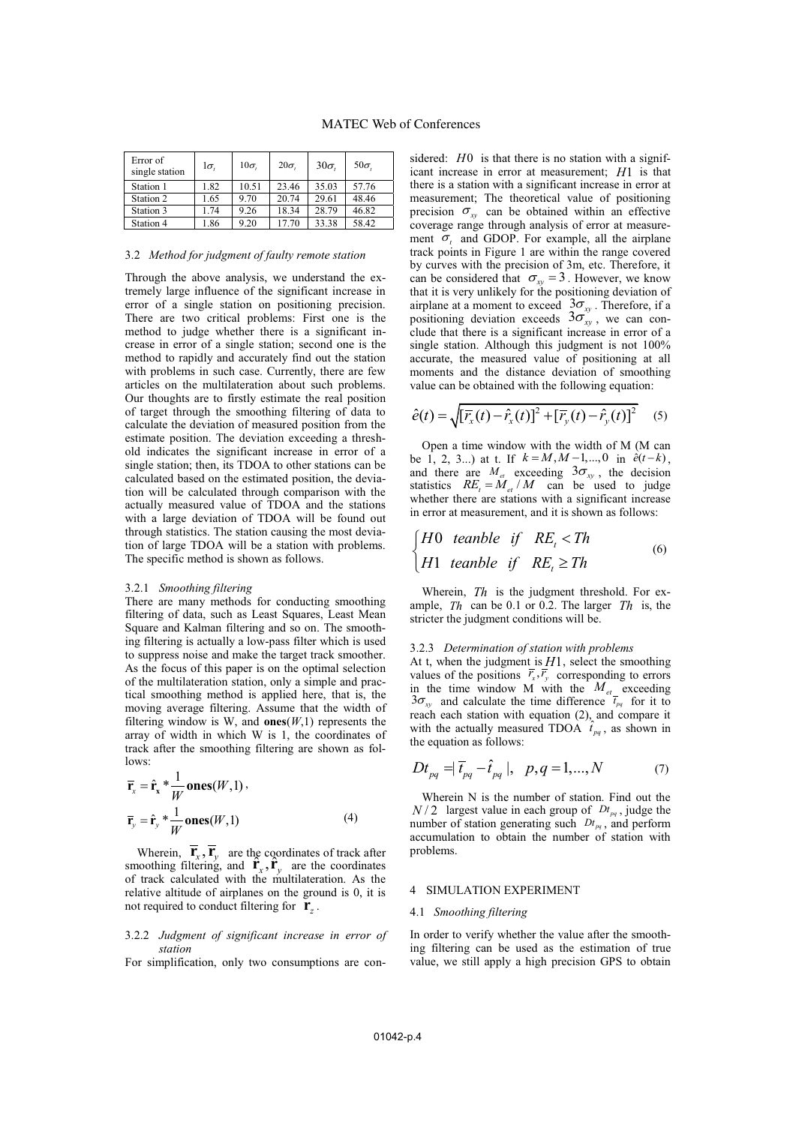# MATEC Web of Conferences

| Error of<br>single station | l $\sigma$ . | $10\sigma$ | $20\sigma$ | $30\sigma$ | $50\sigma$ |
|----------------------------|--------------|------------|------------|------------|------------|
| Station 1                  | 1.82         | 10.51      | 23.46      | 35.03      | 57.76      |
| Station 2                  | 1.65         | 9.70       | 20.74      | 29.61      | 48.46      |
| Station 3                  | 1.74         | 9.26       | 18.34      | 28.79      | 46.82      |
| Station 4                  | 1.86         | 9.20       | 17.70      | 33.38      | 58.42      |

### 3.2 *Method for judgment of faulty remote station*

Through the above analysis, we understand the extremely large influence of the significant increase in error of a single station on positioning precision. There are two critical problems: First one is the method to judge whether there is a significant increase in error of a single station; second one is the method to rapidly and accurately find out the station with problems in such case. Currently, there are few articles on the multilateration about such problems. Our thoughts are to firstly estimate the real position of target through the smoothing filtering of data to calculate the deviation of measured position from the estimate position. The deviation exceeding a threshold indicates the significant increase in error of a single station; then, its TDOA to other stations can be calculated based on the estimated position, the deviation will be calculated through comparison with the actually measured value of TDOA and the stations with a large deviation of TDOA will be found out through statistics. The station causing the most deviation of large TDOA will be a station with problems. The specific method is shown as follows.

#### 3.2.1 *Smoothing filtering*

There are many methods for conducting smoothing filtering of data, such as Least Squares, Least Mean Square and Kalman filtering and so on. The smoothing filtering is actually a low-pass filter which is used to suppress noise and make the target track smoother. As the focus of this paper is on the optimal selection of the multilateration station, only a simple and practical smoothing method is applied here, that is, the moving average filtering. Assume that the width of filtering window is W, and  $ones(W,1)$  represents the array of width in which W is 1, the coordinates of track after the smoothing filtering are shown as follows:

$$
\overline{\mathbf{r}}_{x} = \hat{\mathbf{r}}_{x} \ast \frac{1}{W} \text{ones}(W,1),
$$
  

$$
\overline{\mathbf{r}}_{y} = \hat{\mathbf{r}}_{y} \ast \frac{1}{W} \text{ones}(W,1)
$$
 (4)

Wherein,  $\overline{\mathbf{r}}_x$ ,  $\overline{\mathbf{r}}_y$  are the coordinates of track after wherein,  $\mathbf{r}_x, \mathbf{r}_y$  are the coordinates of track after<br>smoothing filtering, and  $\mathbf{r}_x, \mathbf{r}_y$  are the coordinates of track calculated with the multilateration. As the relative altitude of airplanes on the ground is 0, it is not required to conduct filtering for  $\mathbf{r}_7$ .

3.2.2 *Judgment of significant increase in error of station* 

For simplification, only two consumptions are con-

sidered: *H*<sup>0</sup> is that there is no station with a significant increase in error at measurement; *H*1 is that there is a station with a significant increase in error at measurement; The theoretical value of positioning precision  $\sigma_{xy}$  can be obtained within an effective coverage range through analysis of error at measurement  $\sigma_t$  and GDOP. For example, all the airplane track points in Figure 1 are within the range covered by curves with the precision of 3m, etc. Therefore, it can be considered that  $\sigma_{xy} = 3$ . However, we know that it is very unlikely for the positioning deviation of airplane at a moment to exceed  $3\sigma_{xy}$ . Therefore, if a positioning deviation exceeds  $3\sigma_{xy}^{\gamma}$ , we can conclude that there is a significant increase in error of a single station. Although this judgment is not 100% accurate, the measured value of positioning at all moments and the distance deviation of smoothing value can be obtained with the following equation:

$$
\hat{e}(t) = \sqrt{\left[\bar{r}_x(t) - \hat{r}_x(t)\right]^2 + \left[\bar{r}_y(t) - \hat{r}_y(t)\right]^2} \quad (5)
$$

Open a time window with the width of M (M can be 1, 2, 3...) at t. If  $k = M, M-1, ..., 0$  in  $\hat{e}(t-k)$ , and there are  $M_{et}$  exceeding  $3\sigma_{xy}$ , the decision statistics  $RE_t = M_{et}/M$  can be used to judge whether there are stations with a significant increase in error at measurement, and it is shown as follows:

$$
\begin{cases}\nH0 \text{ tanhle if } RE_t < Th \\
H1 \text{ tanhle if } RE_t \ge Th\n\end{cases} \tag{6}
$$

Wherein, *Th* is the judgment threshold. For example, *Th* can be 0.1 or 0.2. The larger *Th* is, the stricter the judgment conditions will be.

### 3.2.3 *Determination of station with problems*

At t, when the judgment is *H*1, select the smoothing values of the positions  $\overline{r}_x, \overline{r}_y$  corresponding to errors in the time window M with the  $M_{et}$  exceeding  $3\sigma_{xy}$  and calculate the time difference  $\overline{t}_{pq}$  for it to reach each station with equation (2), and compare it with the actually measured TDOA  $\hat{t}_{pq}$ , as shown in the equation as follows:

$$
Dt_{pq} = |\vec{t}_{pq} - \hat{t}_{pq}|, \ \ p, q = 1, ..., N \tag{7}
$$

Wherein N is the number of station. Find out the  $N/2$  largest value in each group of  $Dt_{pq}$ , judge the number of station generating such  $Dt_{pq}$ , and perform accumulation to obtain the number of station with problems.

#### 4 SIMULATION EXPERIMENT

## 4.1 *Smoothing filtering*

In order to verify whether the value after the smoothing filtering can be used as the estimation of true value, we still apply a high precision GPS to obtain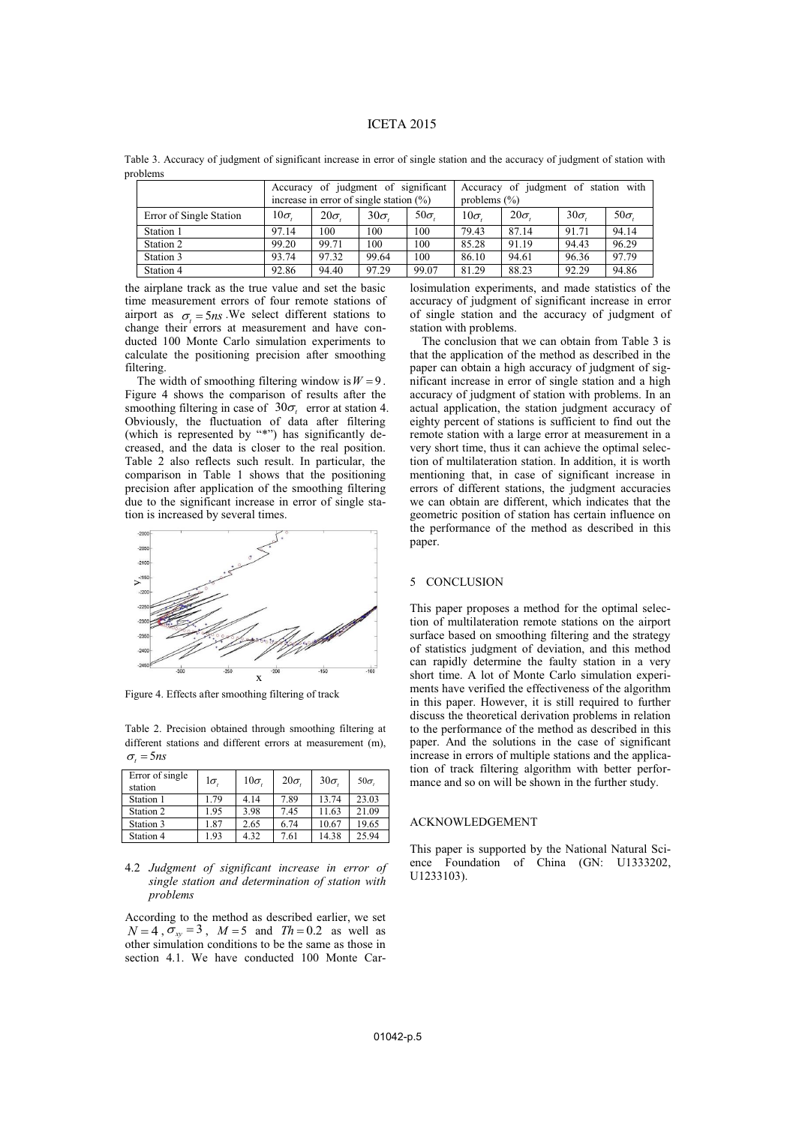# ICETA 2015

Table 3. Accuracy of judgment of significant increase in error of single station and the accuracy of judgment of station with problems

|                         | Accuracy of judgment of significant<br>increase in error of single station $(\%)$ |            |            | Accuracy of judgment of station with<br>problems $(\%)$ |            |            |            |            |
|-------------------------|-----------------------------------------------------------------------------------|------------|------------|---------------------------------------------------------|------------|------------|------------|------------|
| Error of Single Station | $10\sigma$                                                                        | $20\sigma$ | $30\sigma$ | 50 $\sigma$                                             | $10\sigma$ | $20\sigma$ | $30\sigma$ | $50\sigma$ |
| Station 1               | 97.14                                                                             | 100        | 100        | 100                                                     | 79.43      | 87.14      | 91.71      | 94.14      |
| Station 2               | 99.20                                                                             | 99.71      | 100        | 100                                                     | 85.28      | 91.19      | 94.43      | 96.29      |
| Station 3               | 93.74                                                                             | 97.32      | 99.64      | 100                                                     | 86.10      | 94.61      | 96.36      | 97.79      |
| Station 4               | 92.86                                                                             | 94.40      | 97.29      | 99.07                                                   | 81.29      | 88.23      | 92.29      | 94.86      |

the airplane track as the true value and set the basic time measurement errors of four remote stations of airport as  $\sigma_t = 5ns$ . We select different stations to change their errors at measurement and have conducted 100 Monte Carlo simulation experiments to calculate the positioning precision after smoothing filtering.

The width of smoothing filtering window is  $W = 9$ . Figure 4 shows the comparison of results after the smoothing filtering in case of  $30\sigma_t$  error at station 4. Obviously, the fluctuation of data after filtering (which is represented by "\*") has significantly decreased, and the data is closer to the real position. Table 2 also reflects such result. In particular, the comparison in Table 1 shows that the positioning precision after application of the smoothing filtering due to the significant increase in error of single station is increased by several times.



Figure 4. Effects after smoothing filtering of track

Table 2. Precision obtained through smoothing filtering at different stations and different errors at measurement (m),  $\sigma_t = 5ns$ 

| Error of single<br>station | $1\sigma$ . | $10\sigma$ | $20\sigma$ | $30\sigma$ | $50\sigma$ |
|----------------------------|-------------|------------|------------|------------|------------|
| Station 1                  | 1.79        | 4.14       | 7.89       | 13.74      | 23.03      |
| Station 2                  | 1.95        | 3.98       | 7.45       | 11.63      | 21.09      |
| Station 3                  | 1.87        | 2.65       | 6.74       | 10.67      | 19.65      |
| Station 4                  | 1.93        | 4.32       | 7.61       | 14.38      | 25.94      |

4.2 *Judgment of significant increase in error of single station and determination of station with problems* 

According to the method as described earlier, we set  $N = 4$ ,  $\sigma_{xy} = 3$ ,  $M = 5$  and  $Th = 0.2$  as well as other simulation conditions to be the same as those in section 4.1. We have conducted 100 Monte Car-

losimulation experiments, and made statistics of the accuracy of judgment of significant increase in error of single station and the accuracy of judgment of station with problems.

The conclusion that we can obtain from Table 3 is that the application of the method as described in the paper can obtain a high accuracy of judgment of significant increase in error of single station and a high accuracy of judgment of station with problems. In an actual application, the station judgment accuracy of eighty percent of stations is sufficient to find out the remote station with a large error at measurement in a very short time, thus it can achieve the optimal selection of multilateration station. In addition, it is worth mentioning that, in case of significant increase in errors of different stations, the judgment accuracies we can obtain are different, which indicates that the geometric position of station has certain influence on the performance of the method as described in this paper.

#### 5 CONCLUSION

This paper proposes a method for the optimal selection of multilateration remote stations on the airport surface based on smoothing filtering and the strategy of statistics judgment of deviation, and this method can rapidly determine the faulty station in a very short time. A lot of Monte Carlo simulation experiments have verified the effectiveness of the algorithm in this paper. However, it is still required to further discuss the theoretical derivation problems in relation to the performance of the method as described in this paper. And the solutions in the case of significant increase in errors of multiple stations and the application of track filtering algorithm with better performance and so on will be shown in the further study.

#### ACKNOWLEDGEMENT

This paper is supported by the National Natural Science Foundation of China (GN: U1333202, U1233103).